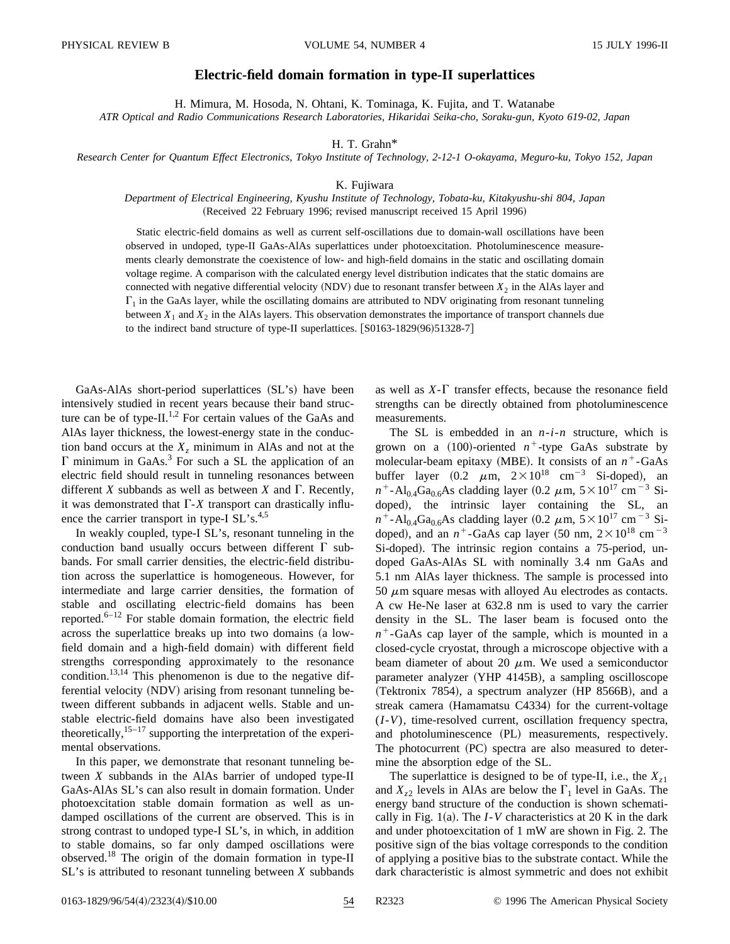## **Electric-field domain formation in type-II superlattices**

H. Mimura, M. Hosoda, N. Ohtani, K. Tominaga, K. Fujita, and T. Watanabe

*ATR Optical and Radio Communications Research Laboratories, Hikaridai Seika-cho, Soraku-gun, Kyoto 619-02, Japan*

H. T. Grahn\*

*Research Center for Quantum Effect Electronics, Tokyo Institute of Technology, 2-12-1 O-okayama, Meguro-ku, Tokyo 152, Japan*

## K. Fujiwara

## *Department of Electrical Engineering, Kyushu Institute of Technology, Tobata-ku, Kitakyushu-shi 804, Japan* (Received 22 February 1996; revised manuscript received 15 April 1996)

Static electric-field domains as well as current self-oscillations due to domain-wall oscillations have been observed in undoped, type-II GaAs-AlAs superlattices under photoexcitation. Photoluminescence measurements clearly demonstrate the coexistence of low- and high-field domains in the static and oscillating domain voltage regime. A comparison with the calculated energy level distribution indicates that the static domains are connected with negative differential velocity (NDV) due to resonant transfer between  $X_2$  in the AlAs layer and  $\Gamma_1$  in the GaAs layer, while the oscillating domains are attributed to NDV originating from resonant tunneling between  $X_1$  and  $X_2$  in the AlAs layers. This observation demonstrates the importance of transport channels due to the indirect band structure of type-II superlattices.  $[$0163-1829(96)51328-7]$ 

 $GaAs-AlAs$  short-period superlattices  $(SL's)$  have been intensively studied in recent years because their band structure can be of type-II.<sup>1,2</sup> For certain values of the GaAs and AlAs layer thickness, the lowest-energy state in the conduction band occurs at the  $X<sub>z</sub>$  minimum in AlAs and not at the  $\Gamma$  minimum in GaAs.<sup>3</sup> For such a SL the application of an electric field should result in tunneling resonances between different *X* subbands as well as between *X* and  $\Gamma$ . Recently, it was demonstrated that  $\Gamma$ -*X* transport can drastically influence the carrier transport in type-I  $SL's^{4,5}$ .

In weakly coupled, type-I SL's, resonant tunneling in the conduction band usually occurs between different  $\Gamma$  subbands. For small carrier densities, the electric-field distribution across the superlattice is homogeneous. However, for intermediate and large carrier densities, the formation of stable and oscillating electric-field domains has been reported. $6-12$  For stable domain formation, the electric field across the superlattice breaks up into two domains (a lowfield domain and a high-field domain) with different field strengths corresponding approximately to the resonance condition.<sup>13,14</sup> This phenomenon is due to the negative differential velocity (NDV) arising from resonant tunneling between different subbands in adjacent wells. Stable and unstable electric-field domains have also been investigated theoretically, $15-17$  supporting the interpretation of the experimental observations.

In this paper, we demonstrate that resonant tunneling between *X* subbands in the AlAs barrier of undoped type-II GaAs-AlAs SL's can also result in domain formation. Under photoexcitation stable domain formation as well as undamped oscillations of the current are observed. This is in strong contrast to undoped type-I SL's, in which, in addition to stable domains, so far only damped oscillations were observed.<sup>18</sup> The origin of the domain formation in type-II SL's is attributed to resonant tunneling between *X* subbands as well as  $X - \Gamma$  transfer effects, because the resonance field strengths can be directly obtained from photoluminescence measurements.

The SL is embedded in an *n*-*i*-*n* structure, which is grown on a  $(100)$ -oriented  $n^+$ -type GaAs substrate by molecular-beam epitaxy (MBE). It consists of an  $n^+$ -GaAs buffer layer  $(0.2 \mu m, 2 \times 10^{18} cm^{-3} Si-doped)$ , an  $n^+$ -Al<sub>0.4</sub>Ga<sub>0.6</sub>As cladding layer (0.2  $\mu$ m, 5×10<sup>17</sup> cm<sup>-3</sup> Sidoped), the intrinsic layer containing the SL, an  $n^+$ -Al<sub>0.4</sub>Ga<sub>0.6</sub>As cladding layer (0.2  $\mu$ m,  $5 \times 10^{17}$  cm<sup>-3</sup> Sidoped), and an  $n^+$ -GaAs cap layer (50 nm,  $2 \times 10^{18}$  cm<sup>-3</sup> Si-doped). The intrinsic region contains a 75-period, undoped GaAs-AlAs SL with nominally 3.4 nm GaAs and 5.1 nm AlAs layer thickness. The sample is processed into 50  $\mu$ m square mesas with alloyed Au electrodes as contacts. A cw He-Ne laser at 632.8 nm is used to vary the carrier density in the SL. The laser beam is focused onto the  $n^+$ -GaAs cap layer of the sample, which is mounted in a closed-cycle cryostat, through a microscope objective with a beam diameter of about 20  $\mu$ m. We used a semiconductor parameter analyzer (YHP 4145B), a sampling oscilloscope  $(Tektronix 7854)$ , a spectrum analyzer  $(HP 8566B)$ , and a streak camera (Hamamatsu C4334) for the current-voltage (*I*-*V*), time-resolved current, oscillation frequency spectra, and photoluminescence (PL) measurements, respectively. The photocurrent  $(PC)$  spectra are also measured to determine the absorption edge of the SL.

The superlattice is designed to be of type-II, i.e., the  $X_{\tau_1}$ and  $X_{z2}$  levels in AlAs are below the  $\Gamma_1$  level in GaAs. The energy band structure of the conduction is shown schematically in Fig.  $1(a)$ . The *I*-*V* characteristics at 20 K in the dark and under photoexcitation of 1 mW are shown in Fig. 2. The positive sign of the bias voltage corresponds to the condition of applying a positive bias to the substrate contact. While the dark characteristic is almost symmetric and does not exhibit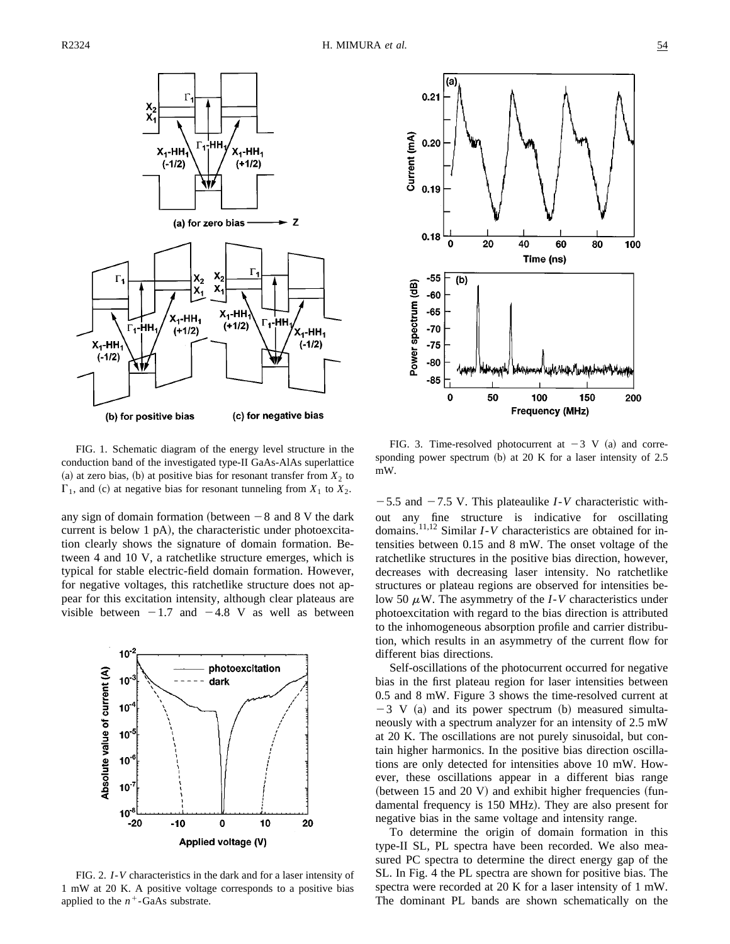

(b) for positive bias (c) for negative bias

FIG. 1. Schematic diagram of the energy level structure in the conduction band of the investigated type-II GaAs-AlAs superlattice (a) at zero bias, (b) at positive bias for resonant transfer from  $X_2$  to  $\Gamma_1$ , and (c) at negative bias for resonant tunneling from  $X_1$  to  $X_2$ .

any sign of domain formation (between  $-8$  and 8 V the dark current is below 1  $pA$ ), the characteristic under photoexcitation clearly shows the signature of domain formation. Between 4 and 10 V, a ratchetlike structure emerges, which is typical for stable electric-field domain formation. However, for negative voltages, this ratchetlike structure does not appear for this excitation intensity, although clear plateaus are visible between  $-1.7$  and  $-4.8$  V as well as between



FIG. 2. *I*-*V* characteristics in the dark and for a laser intensity of 1 mW at 20 K. A positive voltage corresponds to a positive bias applied to the  $n^+$ -GaAs substrate.



FIG. 3. Time-resolved photocurrent at  $-3$  V (a) and corresponding power spectrum  $(b)$  at 20 K for a laser intensity of 2.5 mW.

 $-5.5$  and  $-7.5$  V. This plateaulike *I*-*V* characteristic without any fine structure is indicative for oscillating domains.11,12 Similar *I*-*V* characteristics are obtained for intensities between 0.15 and 8 mW. The onset voltage of the ratchetlike structures in the positive bias direction, however, decreases with decreasing laser intensity. No ratchetlike structures or plateau regions are observed for intensities below 50  $\mu$ W. The asymmetry of the *I*-*V* characteristics under photoexcitation with regard to the bias direction is attributed to the inhomogeneous absorption profile and carrier distribution, which results in an asymmetry of the current flow for different bias directions.

Self-oscillations of the photocurrent occurred for negative bias in the first plateau region for laser intensities between 0.5 and 8 mW. Figure 3 shows the time-resolved current at  $-3$  V (a) and its power spectrum (b) measured simultaneously with a spectrum analyzer for an intensity of 2.5 mW at 20 K. The oscillations are not purely sinusoidal, but contain higher harmonics. In the positive bias direction oscillations are only detected for intensities above 10 mW. However, these oscillations appear in a different bias range (between 15 and 20 V) and exhibit higher frequencies (fundamental frequency is 150 MHz). They are also present for negative bias in the same voltage and intensity range.

To determine the origin of domain formation in this type-II SL, PL spectra have been recorded. We also measured PC spectra to determine the direct energy gap of the SL. In Fig. 4 the PL spectra are shown for positive bias. The spectra were recorded at 20 K for a laser intensity of 1 mW. The dominant PL bands are shown schematically on the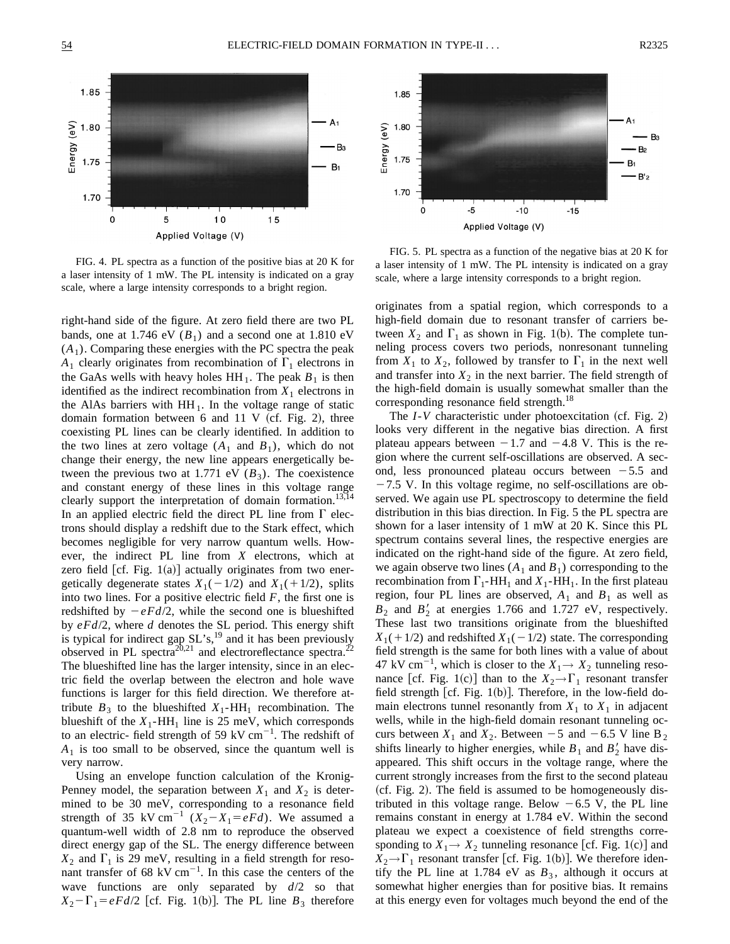

FIG. 4. PL spectra as a function of the positive bias at 20 K for a laser intensity of 1 mW. The PL intensity is indicated on a gray scale, where a large intensity corresponds to a bright region.

right-hand side of the figure. At zero field there are two PL bands, one at 1.746 eV  $(B_1)$  and a second one at 1.810 eV  $(A<sub>1</sub>)$ . Comparing these energies with the PC spectra the peak  $A_1$  clearly originates from recombination of  $\Gamma_1$  electrons in the GaAs wells with heavy holes  $HH_1$ . The peak  $B_1$  is then identified as the indirect recombination from  $X_1$  electrons in the AlAs barriers with  $HH_1$ . In the voltage range of static domain formation between 6 and 11 V (cf. Fig. 2), three coexisting PL lines can be clearly identified. In addition to the two lines at zero voltage  $(A_1$  and  $B_1)$ , which do not change their energy, the new line appears energetically between the previous two at 1.771 eV  $(B_3)$ . The coexistence and constant energy of these lines in this voltage range clearly support the interpretation of domain formation.<sup>13,14</sup> In an applied electric field the direct PL line from  $\Gamma$  electrons should display a redshift due to the Stark effect, which becomes negligible for very narrow quantum wells. However, the indirect PL line from *X* electrons, which at zero field  $[cf. Fig. 1(a)]$  actually originates from two energetically degenerate states  $X_1(-1/2)$  and  $X_1(+1/2)$ , splits into two lines. For a positive electric field *F*, the first one is redshifted by  $-eFd/2$ , while the second one is blueshifted by *eFd*/2, where *d* denotes the SL period. This energy shift is typical for indirect gap  $SL's$ ,<sup>19</sup> and it has been previously observed in PL spectra<sup>20,21</sup> and electroreflectance spectra.<sup>22</sup> The blueshifted line has the larger intensity, since in an electric field the overlap between the electron and hole wave functions is larger for this field direction. We therefore attribute  $B_3$  to the blueshifted  $X_1$ -HH<sub>1</sub> recombination. The blueshift of the  $X_1$ -HH<sub>1</sub> line is 25 meV, which corresponds to an electric- field strength of 59 kV  $cm^{-1}$ . The redshift of  $A_1$  is too small to be observed, since the quantum well is very narrow.

Using an envelope function calculation of the Kronig-Penney model, the separation between  $X_1$  and  $X_2$  is determined to be 30 meV, corresponding to a resonance field strength of 35 kV cm<sup>-1</sup>  $(X_2 - X_1 = eFd)$ . We assumed a quantum-well width of 2.8 nm to reproduce the observed direct energy gap of the SL. The energy difference between  $X_2$  and  $\Gamma_1$  is 29 meV, resulting in a field strength for resonant transfer of 68 kV  $cm^{-1}$ . In this case the centers of the wave functions are only separated by *d*/2 so that  $X_2 - \Gamma_1 = eF d/2$  [cf. Fig. 1(b)]. The PL line  $B_3$  therefore



Applied Voltage (V)

FIG. 5. PL spectra as a function of the negative bias at 20 K for a laser intensity of 1 mW. The PL intensity is indicated on a gray scale, where a large intensity corresponds to a bright region.

originates from a spatial region, which corresponds to a high-field domain due to resonant transfer of carriers between  $X_2$  and  $\Gamma_1$  as shown in Fig. 1(b). The complete tunneling process covers two periods, nonresonant tunneling from  $X_1$  to  $X_2$ , followed by transfer to  $\Gamma_1$  in the next well and transfer into  $X_2$  in the next barrier. The field strength of the high-field domain is usually somewhat smaller than the corresponding resonance field strength.<sup>18</sup>

The  $I-V$  characteristic under photoexcitation (cf. Fig. 2) looks very different in the negative bias direction. A first plateau appears between  $-1.7$  and  $-4.8$  V. This is the region where the current self-oscillations are observed. A second, less pronounced plateau occurs between  $-5.5$  and  $-7.5$  V. In this voltage regime, no self-oscillations are observed. We again use PL spectroscopy to determine the field distribution in this bias direction. In Fig. 5 the PL spectra are shown for a laser intensity of 1 mW at 20 K. Since this PL spectrum contains several lines, the respective energies are indicated on the right-hand side of the figure. At zero field, we again observe two lines  $(A_1 \text{ and } B_1)$  corresponding to the recombination from  $\Gamma_1$ -HH<sub>1</sub> and  $X_1$ -HH<sub>1</sub>. In the first plateau region, four PL lines are observed,  $A_1$  and  $B_1$  as well as  $B_2$  and  $B_2'$  at energies 1.766 and 1.727 eV, respectively. These last two transitions originate from the blueshifted  $X_1(+1/2)$  and redshifted  $X_1(-1/2)$  state. The corresponding field strength is the same for both lines with a value of about 47 kV cm<sup>-1</sup>, which is closer to the  $X_1 \rightarrow X_2$  tunneling resonance [cf. Fig. 1(c)] than to the  $X_2 \rightarrow \Gamma_1$  resonant transfer field strength [cf. Fig.  $1(b)$ ]. Therefore, in the low-field domain electrons tunnel resonantly from  $X_1$  to  $X_1$  in adjacent wells, while in the high-field domain resonant tunneling occurs between  $X_1$  and  $X_2$ . Between  $-5$  and  $-6.5$  V line B<sub>2</sub> shifts linearly to higher energies, while  $B_1$  and  $B_2'$  have disappeared. This shift occurs in the voltage range, where the current strongly increases from the first to the second plateau  $(cf. Fig. 2)$ . The field is assumed to be homogeneously distributed in this voltage range. Below  $-6.5$  V, the PL line remains constant in energy at 1.784 eV. Within the second plateau we expect a coexistence of field strengths corresponding to  $X_1 \rightarrow X_2$  tunneling resonance [cf. Fig. 1(c)] and  $X_2 \rightarrow \Gamma_1$  resonant transfer [cf. Fig. 1(b)]. We therefore identify the PL line at 1.784 eV as  $B_3$ , although it occurs at somewhat higher energies than for positive bias. It remains at this energy even for voltages much beyond the end of the